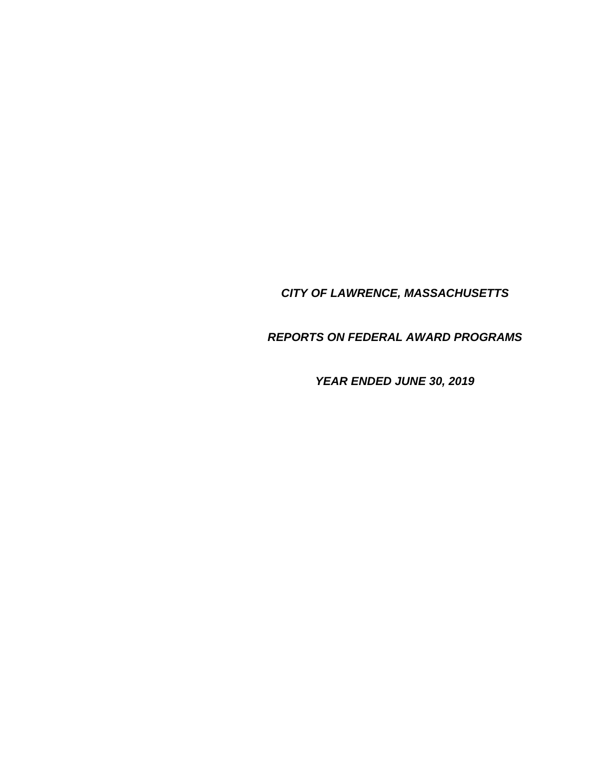*CITY OF LAWRENCE, MASSACHUSETTS* 

*REPORTS ON FEDERAL AWARD PROGRAMS* 

*YEAR ENDED JUNE 30, 2019*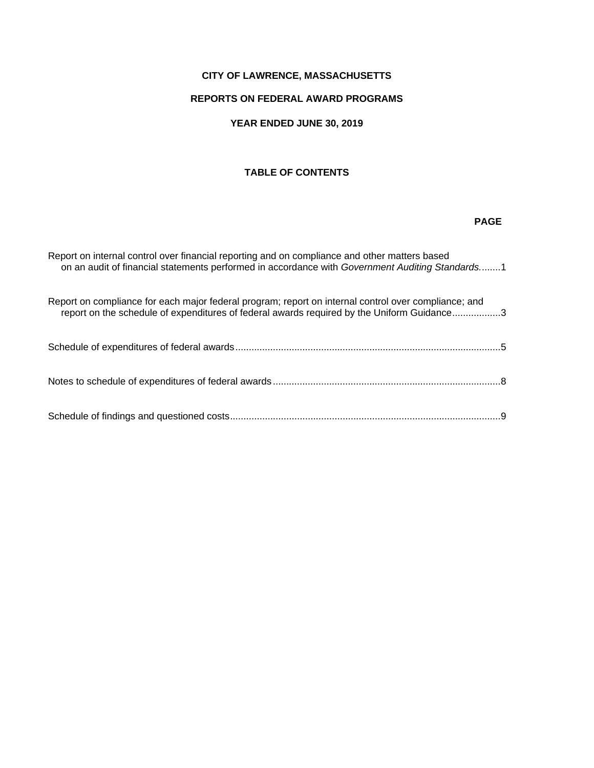### **CITY OF LAWRENCE, MASSACHUSETTS**

#### **REPORTS ON FEDERAL AWARD PROGRAMS**

### **YEAR ENDED JUNE 30, 2019**

#### **TABLE OF CONTENTS**

#### *PAGE AND RESERVE AT A PAGE AND RESERVE AT A PAGE AND RESERVE AT A PAGE AND RESERVE AT A PAGE AND RESERVE*

| Report on internal control over financial reporting and on compliance and other matters based<br>on an audit of financial statements performed in accordance with Government Auditing Standards1   |  |
|----------------------------------------------------------------------------------------------------------------------------------------------------------------------------------------------------|--|
| Report on compliance for each major federal program; report on internal control over compliance; and<br>report on the schedule of expenditures of federal awards required by the Uniform Guidance3 |  |
|                                                                                                                                                                                                    |  |
|                                                                                                                                                                                                    |  |
|                                                                                                                                                                                                    |  |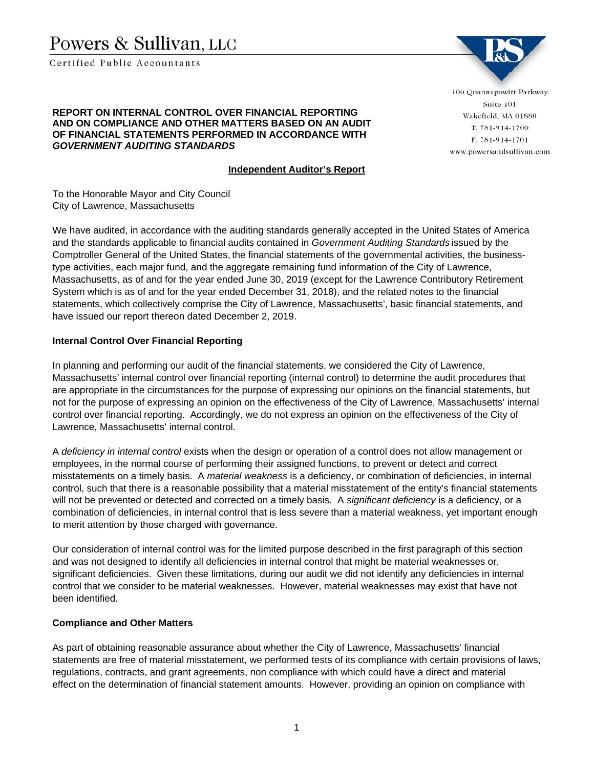# Powers & Sullivan, LLC

Certified Public Accountants

#### **REPORT ON INTERNAL CONTROL OVER FINANCIAL REPORTING AND ON COMPLIANCE AND OTHER MATTERS BASED ON AN AUDIT OF FINANCIAL STATEMENTS PERFORMED IN ACCORDANCE WITH**  *GOVERNMENT AUDITING STANDARDS*

#### **Independent Auditor's Report**

**Report on internal control over financial reporting and on compliance and other matters based on an audit of financial statements performed in accordance with** *Government Auditing Standards.* Wakefield, MA 01880 T. 781-914-1700 F. 781-914-1701 www.powersandsullivan.com

To the Honorable Mayor and City Council City of Lawrence, Massachusetts

We have audited, in accordance with the auditing standards generally accepted in the United States of America and the standards applicable to financial audits contained in *Government Auditing Standards* issued by the Comptroller General of the United States, the financial statements of the governmental activities, the businesstype activities, each major fund, and the aggregate remaining fund information of the City of Lawrence, Massachusetts, as of and for the year ended June 30, 2019 (except for the Lawrence Contributory Retirement System which is as of and for the year ended December 31, 2018), and the related notes to the financial statements, which collectively comprise the City of Lawrence, Massachusetts', basic financial statements, and have issued our report thereon dated December 2, 2019.

#### **Internal Control Over Financial Reporting**

In planning and performing our audit of the financial statements, we considered the City of Lawrence, Massachusetts' internal control over financial reporting (internal control) to determine the audit procedures that are appropriate in the circumstances for the purpose of expressing our opinions on the financial statements, but not for the purpose of expressing an opinion on the effectiveness of the City of Lawrence, Massachusetts' internal control over financial reporting. Accordingly, we do not express an opinion on the effectiveness of the City of Lawrence, Massachusetts' internal control.

A *deficiency in internal control* exists when the design or operation of a control does not allow management or employees, in the normal course of performing their assigned functions, to prevent or detect and correct misstatements on a timely basis. A *material weakness* is a deficiency, or combination of deficiencies, in internal control, such that there is a reasonable possibility that a material misstatement of the entity's financial statements will not be prevented or detected and corrected on a timely basis. A *significant deficiency* is a deficiency, or a combination of deficiencies, in internal control that is less severe than a material weakness, yet important enough to merit attention by those charged with governance.

Our consideration of internal control was for the limited purpose described in the first paragraph of this section and was not designed to identify all deficiencies in internal control that might be material weaknesses or, significant deficiencies. Given these limitations, during our audit we did not identify any deficiencies in internal control that we consider to be material weaknesses. However, material weaknesses may exist that have not been identified.

#### **Compliance and Other Matters**

As part of obtaining reasonable assurance about whether the City of Lawrence, Massachusetts' financial statements are free of material misstatement, we performed tests of its compliance with certain provisions of laws, regulations, contracts, and grant agreements, non compliance with which could have a direct and material effect on the determination of financial statement amounts. However, providing an opinion on compliance with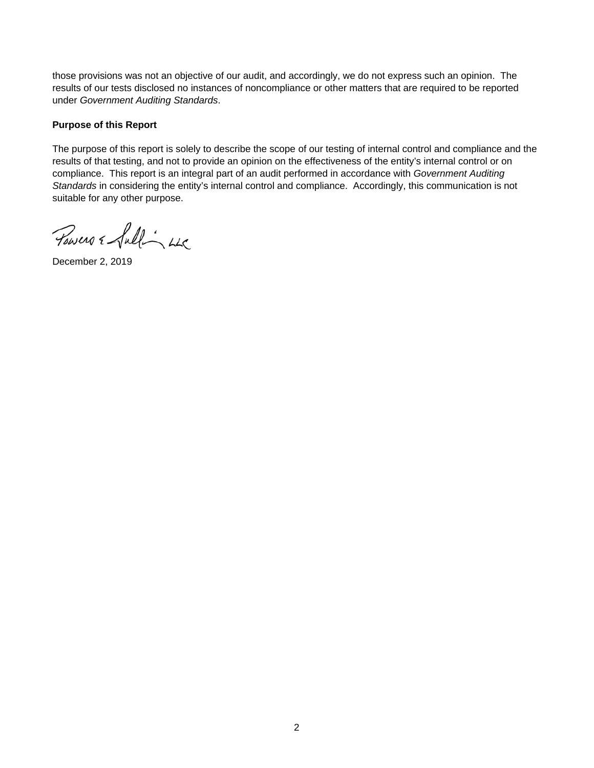those provisions was not an objective of our audit, and accordingly, we do not express such an opinion. The results of our tests disclosed no instances of noncompliance or other matters that are required to be reported under *Government Auditing Standards*.

#### **Purpose of this Report**

The purpose of this report is solely to describe the scope of our testing of internal control and compliance and the results of that testing, and not to provide an opinion on the effectiveness of the entity's internal control or on compliance. This report is an integral part of an audit performed in accordance with *Government Auditing Standards* in considering the entity's internal control and compliance. Accordingly, this communication is not suitable for any other purpose.

Powers & Sulling LLC

December 2, 2019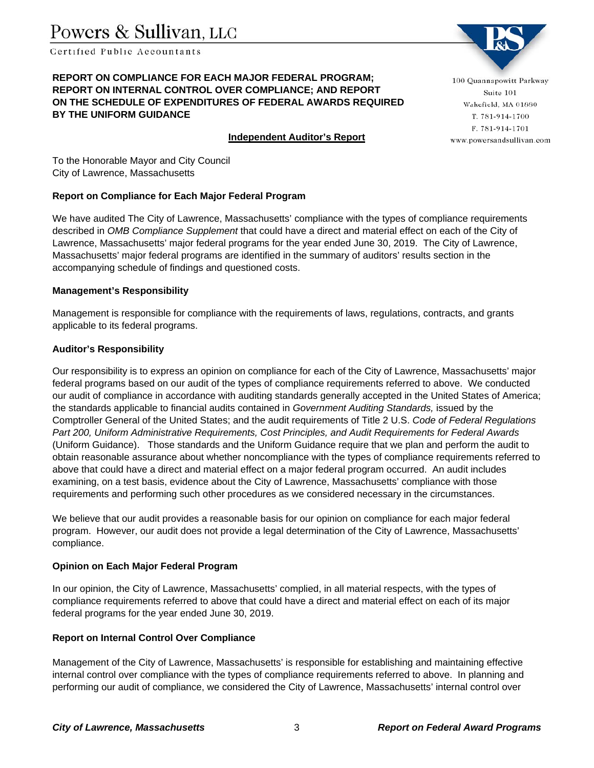# Powers & Sullivan, LLC

Certified Public Accountants

#### **REPORT ON COMPLIANCE FOR EACH MAJOR FEDERAL PROGRAM; REPORT ON INTERNAL CONTROL OVER COMPLIANCE; AND REPORT ON THE SCHEDULE OF EXPENDITURES OF FEDERAL AWARDS REQUIRED BY THE UNIFORM GUIDANCE**

#### **Independent Auditor's Report**

To the Honorable Mayor and City Council City of Lawrence, Massachusetts

#### **Report on Compliance for Each Major Federal Program**

We have audited The City of Lawrence, Massachusetts' compliance with the types of compliance requirements described in *OMB Compliance Supplement* that could have a direct and material effect on each of the City of Lawrence, Massachusetts' major federal programs for the year ended June 30, 2019. The City of Lawrence, Massachusetts' major federal programs are identified in the summary of auditors' results section in the accompanying schedule of findings and questioned costs.

#### **Management's Responsibility**

Management is responsible for compliance with the requirements of laws, regulations, contracts, and grants applicable to its federal programs.

#### **Auditor's Responsibility**

Our responsibility is to express an opinion on compliance for each of the City of Lawrence, Massachusetts' major federal programs based on our audit of the types of compliance requirements referred to above. We conducted our audit of compliance in accordance with auditing standards generally accepted in the United States of America; the standards applicable to financial audits contained in *Government Auditing Standards,* issued by the Comptroller General of the United States; and the audit requirements of Title 2 U.S. *Code of Federal Regulations Part 200, Uniform Administrative Requirements, Cost Principles, and Audit Requirements for Federal Awards* (Uniform Guidance). Those standards and the Uniform Guidance require that we plan and perform the audit to obtain reasonable assurance about whether noncompliance with the types of compliance requirements referred to above that could have a direct and material effect on a major federal program occurred. An audit includes examining, on a test basis, evidence about the City of Lawrence, Massachusetts' compliance with those requirements and performing such other procedures as we considered necessary in the circumstances.

We believe that our audit provides a reasonable basis for our opinion on compliance for each major federal program. However, our audit does not provide a legal determination of the City of Lawrence, Massachusetts' compliance.

#### **Opinion on Each Major Federal Program**

In our opinion, the City of Lawrence, Massachusetts' complied, in all material respects, with the types of compliance requirements referred to above that could have a direct and material effect on each of its major federal programs for the year ended June 30, 2019.

#### **Report on Internal Control Over Compliance**

Management of the City of Lawrence, Massachusetts' is responsible for establishing and maintaining effective internal control over compliance with the types of compliance requirements referred to above. In planning and performing our audit of compliance, we considered the City of Lawrence, Massachusetts' internal control over

100 Quannapowitt Parkway Suite 101 Wakefield, MA 01880 T. 781-914-1700 F. 781-914-1701

www.powersandsullivan.com

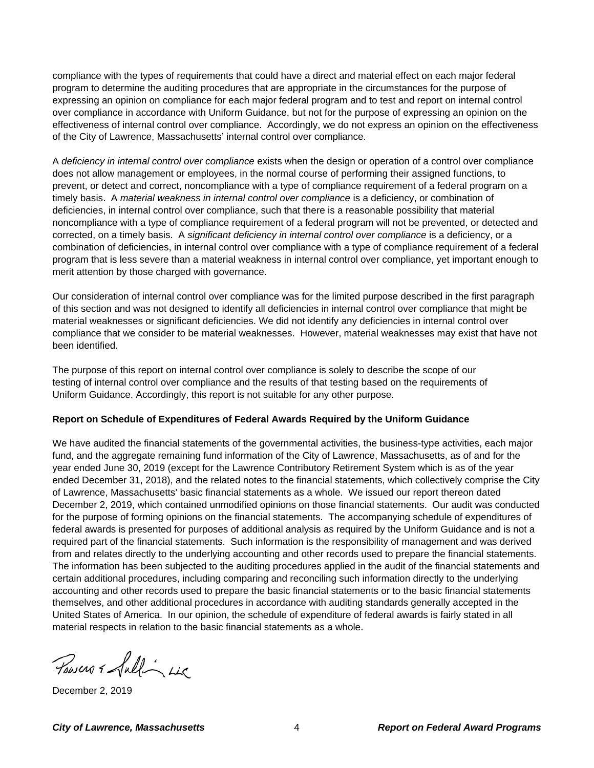compliance with the types of requirements that could have a direct and material effect on each major federal program to determine the auditing procedures that are appropriate in the circumstances for the purpose of expressing an opinion on compliance for each major federal program and to test and report on internal control over compliance in accordance with Uniform Guidance, but not for the purpose of expressing an opinion on the effectiveness of internal control over compliance. Accordingly, we do not express an opinion on the effectiveness of the City of Lawrence, Massachusetts' internal control over compliance.

A *deficiency in internal control over compliance* exists when the design or operation of a control over compliance does not allow management or employees, in the normal course of performing their assigned functions, to prevent, or detect and correct, noncompliance with a type of compliance requirement of a federal program on a timely basis. A *material weakness in internal control over compliance* is a deficiency, or combination of deficiencies, in internal control over compliance, such that there is a reasonable possibility that material noncompliance with a type of compliance requirement of a federal program will not be prevented, or detected and corrected, on a timely basis. A *significant deficiency in internal control over compliance* is a deficiency, or a combination of deficiencies, in internal control over compliance with a type of compliance requirement of a federal program that is less severe than a material weakness in internal control over compliance, yet important enough to merit attention by those charged with governance.

Our consideration of internal control over compliance was for the limited purpose described in the first paragraph of this section and was not designed to identify all deficiencies in internal control over compliance that might be material weaknesses or significant deficiencies. We did not identify any deficiencies in internal control over compliance that we consider to be material weaknesses. However, material weaknesses may exist that have not been identified.

The purpose of this report on internal control over compliance is solely to describe the scope of our testing of internal control over compliance and the results of that testing based on the requirements of Uniform Guidance. Accordingly, this report is not suitable for any other purpose.

#### **Report on Schedule of Expenditures of Federal Awards Required by the Uniform Guidance**

We have audited the financial statements of the governmental activities, the business-type activities, each major fund, and the aggregate remaining fund information of the City of Lawrence, Massachusetts, as of and for the year ended June 30, 2019 (except for the Lawrence Contributory Retirement System which is as of the year ended December 31, 2018), and the related notes to the financial statements, which collectively comprise the City of Lawrence, Massachusetts' basic financial statements as a whole. We issued our report thereon dated December 2, 2019, which contained unmodified opinions on those financial statements. Our audit was conducted for the purpose of forming opinions on the financial statements. The accompanying schedule of expenditures of federal awards is presented for purposes of additional analysis as required by the Uniform Guidance and is not a required part of the financial statements. Such information is the responsibility of management and was derived from and relates directly to the underlying accounting and other records used to prepare the financial statements. The information has been subjected to the auditing procedures applied in the audit of the financial statements and certain additional procedures, including comparing and reconciling such information directly to the underlying accounting and other records used to prepare the basic financial statements or to the basic financial statements themselves, and other additional procedures in accordance with auditing standards generally accepted in the United States of America. In our opinion, the schedule of expenditure of federal awards is fairly stated in all material respects in relation to the basic financial statements as a whole.

Powers & Sulling LLC

December 2, 2019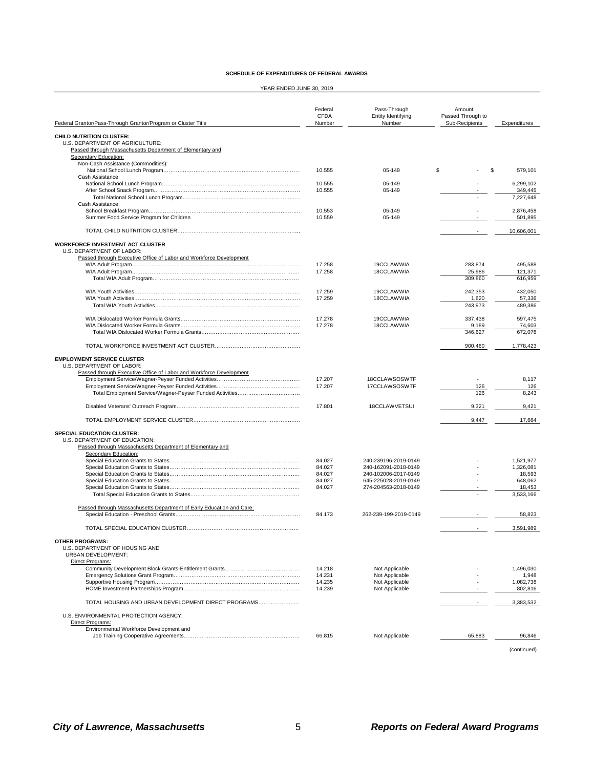YEAR ENDED JUNE 30, 2019

|                                                                                                                                      | Federal<br><b>CFDA</b><br>Number | Pass-Through<br>Entity Identifying<br>Number | Amount<br>Passed Through to |                        |
|--------------------------------------------------------------------------------------------------------------------------------------|----------------------------------|----------------------------------------------|-----------------------------|------------------------|
| Federal Grantor/Pass-Through Grantor/Program or Cluster Title                                                                        |                                  |                                              | Sub-Recipients              | Expenditures           |
| <b>CHILD NUTRITION CLUSTER:</b><br>U.S. DEPARTMENT OF AGRICULTURE:                                                                   |                                  |                                              |                             |                        |
| Passed through Massachusetts Department of Elementary and                                                                            |                                  |                                              |                             |                        |
| Secondary Education:                                                                                                                 |                                  |                                              |                             |                        |
| Non-Cash Assistance (Commodities):                                                                                                   | 10.555                           | 05-149                                       | \$<br>\$                    | 579,101                |
| Cash Assistance:                                                                                                                     |                                  |                                              |                             |                        |
|                                                                                                                                      | 10.555                           | 05-149                                       |                             | 6,299,102              |
|                                                                                                                                      | 10.555                           | 05-149                                       |                             | 349,445<br>7,227,648   |
| Cash Assistance:                                                                                                                     |                                  |                                              |                             |                        |
|                                                                                                                                      | 10.553                           | 05-149                                       |                             | 2,876,458              |
| Summer Food Service Program for Children                                                                                             | 10.559                           | 05-149                                       |                             | 501,895                |
|                                                                                                                                      |                                  |                                              |                             | 10,606,001             |
| <b>WORKFORCE INVESTMENT ACT CLUSTER</b>                                                                                              |                                  |                                              |                             |                        |
| U.S. DEPARTMENT OF LABOR:                                                                                                            |                                  |                                              |                             |                        |
| Passed through Executive Office of Labor and Workforce Development                                                                   |                                  |                                              |                             |                        |
|                                                                                                                                      | 17.258<br>17.258                 | 19CCLAWWIA<br>18CCLAWWIA                     | 283,874<br>25,986           | 495,588<br>121,371     |
|                                                                                                                                      |                                  |                                              | 309,860                     | 616,959                |
|                                                                                                                                      |                                  |                                              |                             |                        |
|                                                                                                                                      | 17.259<br>17.259                 | 19CCLAWWIA<br>18CCLAWWIA                     | 242,353<br>1,620            | 432,050<br>57,336      |
|                                                                                                                                      |                                  |                                              | 243,973                     | 489,386                |
|                                                                                                                                      |                                  |                                              |                             |                        |
|                                                                                                                                      | 17.278<br>17.278                 | 19CCLAWWIA<br>18CCLAWWIA                     | 337,438<br>9,189            | 597,475<br>74,603      |
|                                                                                                                                      |                                  |                                              | 346,627                     | 672,078                |
|                                                                                                                                      |                                  |                                              |                             |                        |
|                                                                                                                                      |                                  |                                              | 900,460                     | 1,778,423              |
| <b>EMPLOYMENT SERVICE CLUSTER</b><br>U.S. DEPARTMENT OF LABOR:<br>Passed through Executive Office of Labor and Workforce Development |                                  |                                              |                             |                        |
|                                                                                                                                      | 17.207                           | 18CCLAWSOSWTF                                |                             | 8,117                  |
|                                                                                                                                      | 17.207                           | 17CCLAWSOSWTF                                | 126                         | 126                    |
|                                                                                                                                      |                                  |                                              | 126                         | 8,243                  |
|                                                                                                                                      | 17.801                           | 18CCLAWVETSUI                                | 9,321                       | 9,421                  |
|                                                                                                                                      |                                  |                                              | 9,447                       | 17,664                 |
| <b>SPECIAL EDUCATION CLUSTER:</b>                                                                                                    |                                  |                                              |                             |                        |
| U.S. DEPARTMENT OF EDUCATION:                                                                                                        |                                  |                                              |                             |                        |
| Passed through Massachusetts Department of Elementary and                                                                            |                                  |                                              |                             |                        |
| Secondary Education:                                                                                                                 |                                  |                                              |                             |                        |
|                                                                                                                                      | 84.027<br>84.027                 | 240-239196-2019-0149<br>240-162091-2018-0149 |                             | 1,521,977<br>1,326,081 |
|                                                                                                                                      | 84.027                           | 240-102006-2017-0149                         |                             | 18,593                 |
|                                                                                                                                      | 84.027                           | 645-225028-2019-0149                         |                             | 648.062                |
|                                                                                                                                      | 84.027                           | 274-204563-2018-0149                         |                             | 18,453<br>3,533,166    |
|                                                                                                                                      |                                  |                                              |                             |                        |
| Passed through Massachusetts Department of Early Education and Care:                                                                 |                                  |                                              |                             |                        |
|                                                                                                                                      | 84.173                           | 262-239-199-2019-0149                        |                             | 58,823                 |
|                                                                                                                                      |                                  |                                              |                             | 3,591,989              |
| <b>OTHER PROGRAMS:</b><br>U.S. DEPARTMENT OF HOUSING AND<br>URBAN DEVELOPMENT:                                                       |                                  |                                              |                             |                        |
| Direct Programs:                                                                                                                     | 14.218                           | Not Applicable                               |                             | 1,496,030              |
|                                                                                                                                      | 14.231                           | Not Applicable                               |                             | 1,948                  |
|                                                                                                                                      | 14.235                           | Not Applicable                               |                             | 1,082,738              |
|                                                                                                                                      | 14.239                           | Not Applicable                               |                             | 802,816                |
| TOTAL HOUSING AND URBAN DEVELOPMENT DIRECT PROGRAMS                                                                                  |                                  |                                              | $\sim$                      | 3,383,532              |
| U.S. ENVIRONMENTAL PROTECTION AGENCY:                                                                                                |                                  |                                              |                             |                        |
| Direct Programs:<br>Environmental Workforce Development and                                                                          |                                  |                                              |                             |                        |
|                                                                                                                                      | 66.815                           | Not Applicable                               | 65,883                      | 96,846                 |
|                                                                                                                                      |                                  |                                              |                             |                        |

(continued)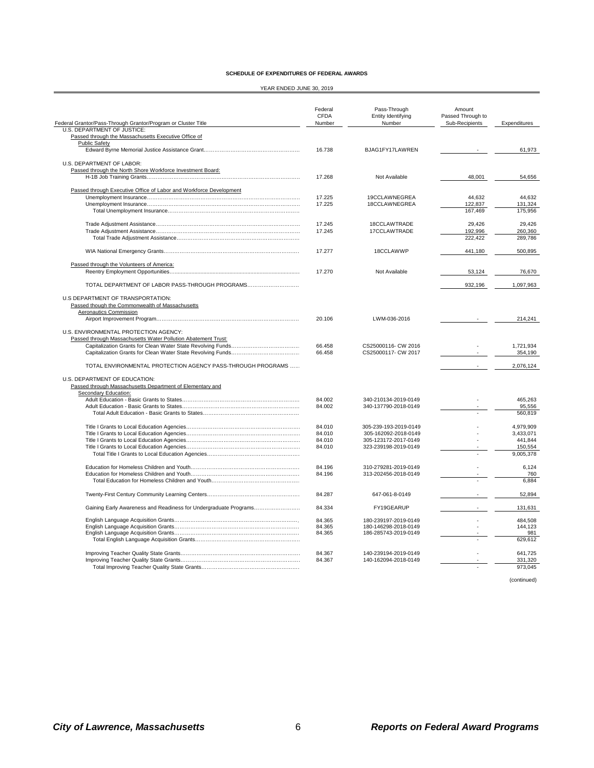#### **SCHEDULE OF EXPENDITURES OF FEDERAL AWARDS**

|                                                                                              | Federal<br><b>CFDA</b> | Pass-Through<br>Entity Identifying         | Amount<br>Passed Through to |                      |
|----------------------------------------------------------------------------------------------|------------------------|--------------------------------------------|-----------------------------|----------------------|
| Federal Grantor/Pass-Through Grantor/Program or Cluster Title<br>U.S. DEPARTMENT OF JUSTICE: | Number                 | Number                                     | Sub-Recipients              | Expenditures         |
| Passed through the Massachusetts Executive Office of                                         |                        |                                            |                             |                      |
| <b>Public Safety</b>                                                                         |                        |                                            |                             |                      |
|                                                                                              | 16.738                 | BJAG1FY17LAWREN                            |                             | 61,973               |
| U.S. DEPARTMENT OF LABOR:                                                                    |                        |                                            |                             |                      |
| Passed through the North Shore Workforce Investment Board:                                   |                        |                                            |                             |                      |
|                                                                                              | 17.268                 | Not Available                              | 48,001                      | 54,656               |
| Passed through Executive Office of Labor and Workforce Development                           |                        |                                            |                             |                      |
|                                                                                              | 17.225                 | 19CCLAWNEGREA                              | 44,632                      | 44,632               |
|                                                                                              | 17.225                 | 18CCLAWNEGREA                              | 122,837                     | 131,324              |
|                                                                                              |                        |                                            | 167,469                     | 175,956              |
|                                                                                              | 17.245                 | 18CCLAWTRADE                               | 29,426                      | 29,426               |
|                                                                                              | 17.245                 | 17CCLAWTRADE                               | 192,996                     | 260,360              |
|                                                                                              |                        |                                            | 222.422                     | 289,786              |
|                                                                                              |                        |                                            |                             |                      |
|                                                                                              | 17.277                 | 18CCLAWWP                                  | 441,180                     | 500,895              |
| Passed through the Volunteers of America:                                                    |                        |                                            |                             |                      |
|                                                                                              | 17.270                 | Not Available                              | 53,124                      | 76,670               |
| TOTAL DEPARTMENT OF LABOR PASS-THROUGH PROGRAMS                                              |                        |                                            | 932,196                     | 1,097,963            |
|                                                                                              |                        |                                            |                             |                      |
| U.S DEPARTMENT OF TRANSPORTATION:                                                            |                        |                                            |                             |                      |
| Passed though the Commonwealth of Massachusetts                                              |                        |                                            |                             |                      |
| Aeronautics Commission                                                                       | 20.106                 | LWM-036-2016                               |                             | 214,241              |
|                                                                                              |                        |                                            |                             |                      |
| U.S. ENVIRONMENTAL PROTECTION AGENCY:                                                        |                        |                                            |                             |                      |
| Passed through Massachusetts Water Pollution Abatement Trust:                                |                        |                                            |                             |                      |
|                                                                                              | 66.458<br>66.458       | CS25000116- CW 2016<br>CS25000117- CW 2017 |                             | 1,721,934<br>354,190 |
|                                                                                              |                        |                                            |                             |                      |
| TOTAL ENVIRONMENTAL PROTECTION AGENCY PASS-THROUGH PROGRAMS                                  |                        |                                            |                             | 2,076,124            |
| U.S. DEPARTMENT OF EDUCATION:                                                                |                        |                                            |                             |                      |
| Passed through Massachusetts Department of Elementary and                                    |                        |                                            |                             |                      |
| Secondary Education:                                                                         |                        |                                            |                             |                      |
|                                                                                              | 84.002                 | 340-210134-2019-0149                       |                             | 465,263              |
|                                                                                              | 84.002                 | 340-137790-2018-0149                       |                             | 95,556               |
|                                                                                              |                        |                                            |                             | 560,819              |
|                                                                                              | 84.010                 | 305-239-193-2019-0149                      |                             | 4,979,909            |
|                                                                                              | 84.010                 | 305-162092-2018-0149                       |                             | 3,433,071            |
|                                                                                              | 84.010                 | 305-123172-2017-0149                       |                             | 441.844              |
|                                                                                              | 84.010                 | 323-239198-2019-0149                       |                             | 150,554              |
|                                                                                              |                        |                                            |                             | 9,005,378            |
|                                                                                              | 84.196                 | 310-279281-2019-0149                       |                             | 6.124                |
|                                                                                              | 84.196                 | 313-202456-2018-0149                       |                             | 760                  |
|                                                                                              |                        |                                            |                             | 6,884                |
|                                                                                              | 84.287                 | 647-061-8-0149                             |                             | 52,894               |
|                                                                                              |                        |                                            |                             |                      |
| Gaining Early Awareness and Readiness for Undergraduate Programs                             | 84.334                 | FY19GEARUP                                 |                             | 131,631              |
|                                                                                              | 84.365                 | 180-239197-2019-0149                       |                             | 484,508              |
|                                                                                              | 84.365                 | 180-146298-2018-0149                       |                             | 144.123              |
|                                                                                              | 84.365                 | 186-285743-2019-0149                       |                             | 981<br>629,612       |
|                                                                                              |                        |                                            |                             |                      |
|                                                                                              | 84.367                 | 140-239194-2019-0149                       |                             | 641,725              |
|                                                                                              | 84.367                 | 140-162094-2018-0149                       |                             | 331,320              |
|                                                                                              |                        |                                            |                             | 973,045              |

(continued)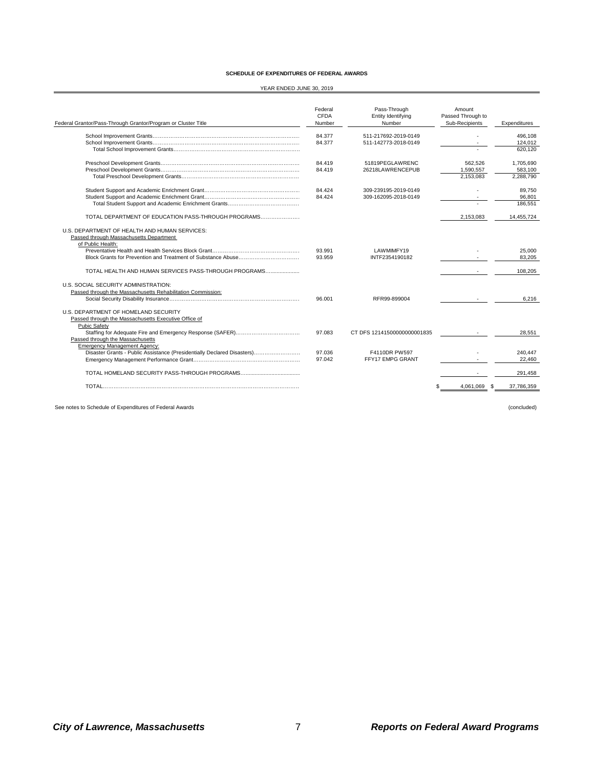#### **SCHEDULE OF EXPENDITURES OF FEDERAL AWARDS**

|  | YEAR ENDED JUNE 30, 2019 |  |  |  |  |
|--|--------------------------|--|--|--|--|
|--|--------------------------|--|--|--|--|

| Federal Grantor/Pass-Through Grantor/Program or Cluster Title                                                                                               | Federal<br><b>CFDA</b><br>Number | Pass-Through<br>Entity Identifying<br>Number | Amount<br>Passed Through to<br>Sub-Recipients | Expenditures                              |
|-------------------------------------------------------------------------------------------------------------------------------------------------------------|----------------------------------|----------------------------------------------|-----------------------------------------------|-------------------------------------------|
|                                                                                                                                                             | 84.377<br>84.377                 | 511-217692-2019-0149<br>511-142773-2018-0149 |                                               | 496.108<br>124,012<br>620.120             |
|                                                                                                                                                             | 84.419<br>84.419                 | 51819PEGLAWRENC<br>26218LAWRENCEPUB          | 562.526<br>1,590,557<br>2.153.083             | 1.705.690<br>583,100<br>2.288.790         |
| TOTAL DEPARTMENT OF EDUCATION PASS-THROUGH PROGRAMS                                                                                                         | 84.424<br>84.424                 | 309-239195-2019-0149<br>309-162095-2018-0149 | 2,153,083                                     | 89.750<br>96,801<br>186.551<br>14,455,724 |
| U.S. DEPARTMENT OF HEALTH AND HUMAN SERVICES:<br>Passed through Massachusetts Department<br>of Public Health:                                               | 93.991<br>93.959                 | LAWMIMFY19<br>INTF2354190182                 |                                               | 25.000<br>83,205                          |
| TOTAL HEALTH AND HUMAN SERVICES PASS-THROUGH PROGRAMS<br>U.S. SOCIAL SECURITY ADMINISTRATION:                                                               |                                  |                                              |                                               | 108,205                                   |
| Passed through the Massachusetts Rehabilitation Commission:<br>U.S. DEPARTMENT OF HOMELAND SECURITY<br>Passed through the Massachusetts Executive Office of | 96.001                           | RFR99-899004                                 |                                               | 6.216                                     |
| <b>Pubic Safety</b><br>Passed through the Massachusetts                                                                                                     | 97.083                           | CT DFS 12141500000000001835                  |                                               | 28.551                                    |
| <b>Emergency Management Agency:</b><br>Disaster Grants - Public Assistance (Presidentially Declared Disasters)                                              | 97.036<br>97.042                 | F4110DR PW597<br>FFY17 EMPG GRANT            |                                               | 240.447<br>22,460                         |
|                                                                                                                                                             |                                  |                                              |                                               | 291,458                                   |
|                                                                                                                                                             |                                  |                                              | 4,061,069                                     | 37,786,359                                |

See notes to Schedule of Expenditures of Federal Awards (concluded) (concluded) (concluded) (concluded) (concluded)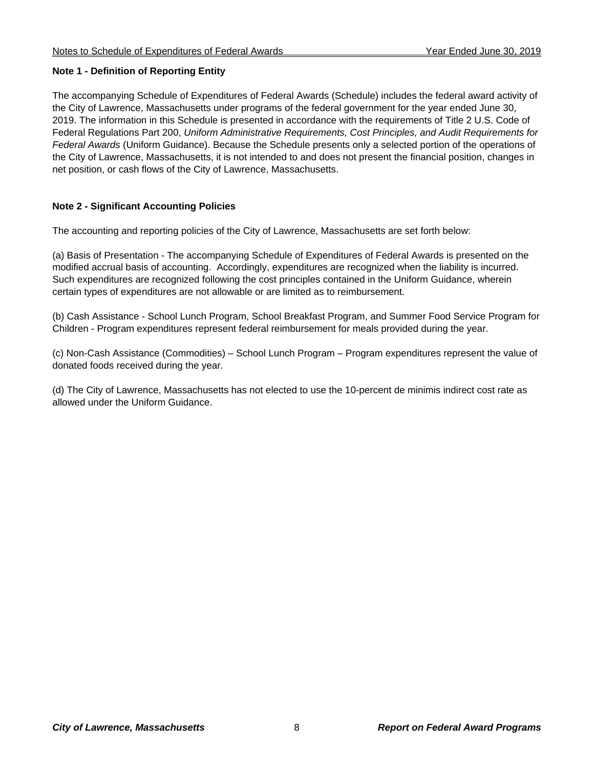#### **Note 1 - Definition of Reporting Entity**

The accompanying Schedule of Expenditures of Federal Awards (Schedule) includes the federal award activity of the City of Lawrence, Massachusetts under programs of the federal government for the year ended June 30, 2019. The information in this Schedule is presented in accordance with the requirements of Title 2 U.S. Code of Federal Regulations Part 200, *Uniform Administrative Requirements, Cost Principles, and Audit Requirements for Federal Awards* (Uniform Guidance). Because the Schedule presents only a selected portion of the operations of the City of Lawrence, Massachusetts, it is not intended to and does not present the financial position, changes in net position, or cash flows of the City of Lawrence, Massachusetts.

#### **Note 2 - Significant Accounting Policies**

The accounting and reporting policies of the City of Lawrence, Massachusetts are set forth below:

(a) Basis of Presentation - The accompanying Schedule of Expenditures of Federal Awards is presented on the modified accrual basis of accounting. Accordingly, expenditures are recognized when the liability is incurred. Such expenditures are recognized following the cost principles contained in the Uniform Guidance, wherein certain types of expenditures are not allowable or are limited as to reimbursement.

(b) Cash Assistance - School Lunch Program, School Breakfast Program, and Summer Food Service Program for Children - Program expenditures represent federal reimbursement for meals provided during the year.

(c) Non-Cash Assistance (Commodities) – School Lunch Program – Program expenditures represent the value of donated foods received during the year.

(d) The City of Lawrence, Massachusetts has not elected to use the 10-percent de minimis indirect cost rate as allowed under the Uniform Guidance.